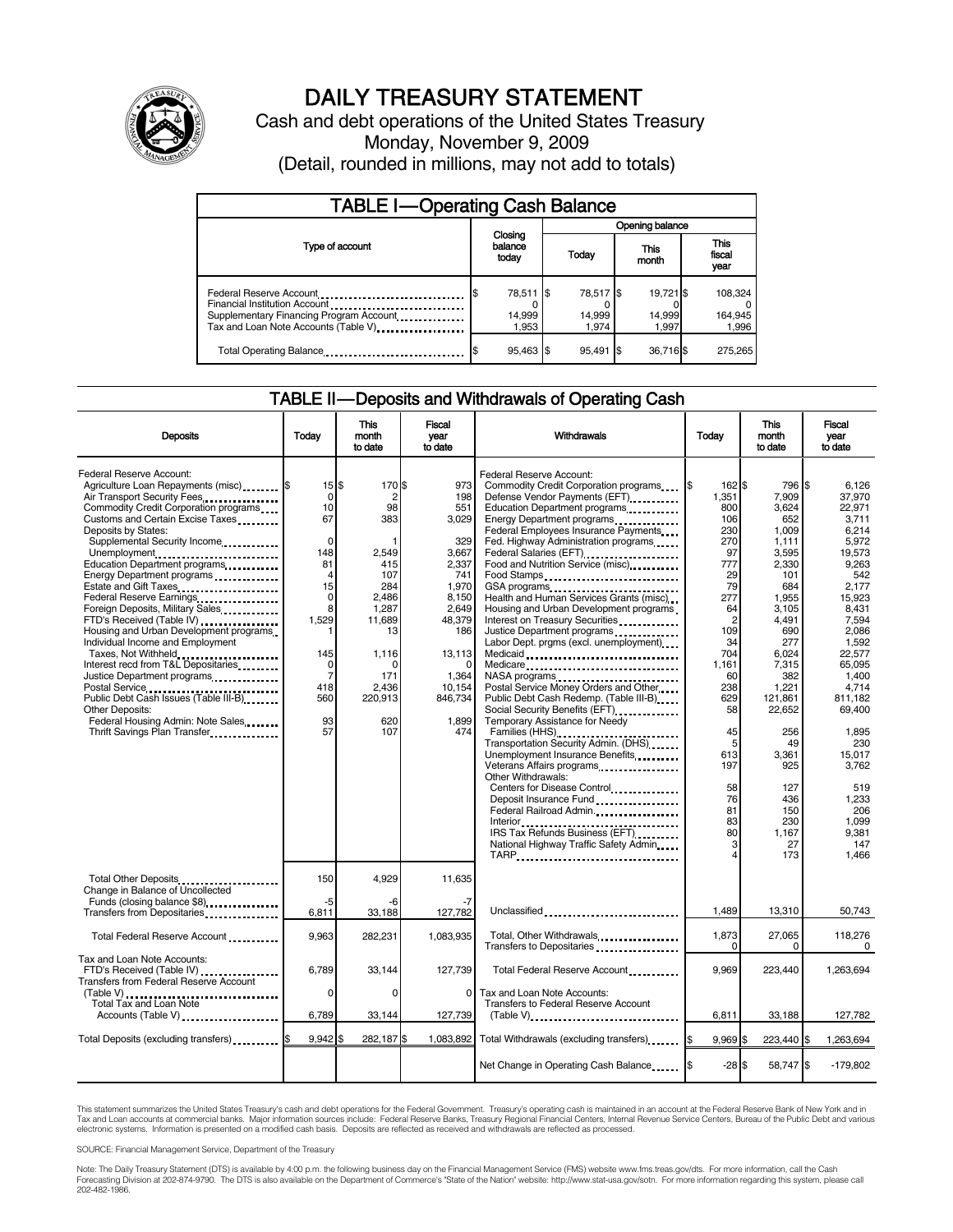

# DAILY TREASURY STATEMENT

Cash and debt operations of the United States Treasury Monday, November 9, 2009 (Detail, rounded in millions, may not add to totals)

| <b>TABLE I-Operating Cash Balance</b>                                                                                                       |                              |                              |                              |                             |  |  |  |
|---------------------------------------------------------------------------------------------------------------------------------------------|------------------------------|------------------------------|------------------------------|-----------------------------|--|--|--|
|                                                                                                                                             |                              | Opening balance              |                              |                             |  |  |  |
| Type of account                                                                                                                             | Closing<br>balance<br>today  | Today                        | This<br>month                | This<br>fiscal<br>year      |  |  |  |
| Federal Reserve Account<br>Financial Institution Account<br>Supplementary Financing Program Account<br>Tax and Loan Note Accounts (Table V) | 78,511 \$<br>14,999<br>1.953 | 78,517 \$<br>14,999<br>1.974 | 19,721 \$<br>14,999<br>1.997 | 108,324<br>164,945<br>1,996 |  |  |  |
| Total Operating Balance                                                                                                                     | 95,463 \$                    | 95.491 \$                    | 36,716 \$                    | 275.265                     |  |  |  |

### TABLE II — Deposits and Withdrawals of Operating Cash

| <b>Deposits</b>                                                                                                                                                                                                                                                                                                                                                                                                                                                                                                                                                                                                                                                                                                                                                                    | Today                                                                                                                                                    | This<br>month<br>to date                                                                                                                                            | Fiscal<br>vear<br>to date                                                                                                                                      | Withdrawals                                                                                                                                                                                                                                                                                                                                                                                                                                                                                                                                                                                                                                                                                                                                                                                                                                                                                                                                                                                                                                                   | Today                                                                                                                                                                                                            | This<br>month<br>to date                                                                                                                                                                                                                                         | Fiscal<br>vear<br>to date                                                                                                                                                                                                                                                                    |
|------------------------------------------------------------------------------------------------------------------------------------------------------------------------------------------------------------------------------------------------------------------------------------------------------------------------------------------------------------------------------------------------------------------------------------------------------------------------------------------------------------------------------------------------------------------------------------------------------------------------------------------------------------------------------------------------------------------------------------------------------------------------------------|----------------------------------------------------------------------------------------------------------------------------------------------------------|---------------------------------------------------------------------------------------------------------------------------------------------------------------------|----------------------------------------------------------------------------------------------------------------------------------------------------------------|---------------------------------------------------------------------------------------------------------------------------------------------------------------------------------------------------------------------------------------------------------------------------------------------------------------------------------------------------------------------------------------------------------------------------------------------------------------------------------------------------------------------------------------------------------------------------------------------------------------------------------------------------------------------------------------------------------------------------------------------------------------------------------------------------------------------------------------------------------------------------------------------------------------------------------------------------------------------------------------------------------------------------------------------------------------|------------------------------------------------------------------------------------------------------------------------------------------------------------------------------------------------------------------|------------------------------------------------------------------------------------------------------------------------------------------------------------------------------------------------------------------------------------------------------------------|----------------------------------------------------------------------------------------------------------------------------------------------------------------------------------------------------------------------------------------------------------------------------------------------|
| Federal Reserve Account:<br>Agriculture Loan Repayments (misc) \$<br>Air Transport Security Fees<br>Commodity Credit Corporation programs<br>Customs and Certain Excise Taxes<br>Deposits by States:<br>Supplemental Security Income<br>Unemployment<br>Education Department programs<br>Energy Department programs<br>Estate and Gift Taxes<br><br>Federal Reserve Earnings<br>Foreign Deposits, Military Sales<br>FTD's Received (Table IV)<br>Housing and Urban Development programs<br>Individual Income and Employment<br>Taxes, Not Withheld<br>Interest recd from T&L Depositaries<br>Justice Department programs<br>Postal Service<br>Public Debt Cash Issues (Table III-B)<br><b>Other Deposits:</b><br>Federal Housing Admin: Note Sales<br>Thrift Savings Plan Transfer | $15$ \$<br>0<br>10<br>67<br>$\Omega$<br>148<br>81<br>4<br>15<br>$\mathbf 0$<br>8<br>1.529<br>145<br>$\Omega$<br>$\overline{7}$<br>418<br>560<br>93<br>57 | 170 \$<br>$\overline{2}$<br>98<br>383<br>2,549<br>415<br>107<br>284<br>2.486<br>1.287<br>11.689<br>13<br>1,116<br>$\Omega$<br>171<br>2.436<br>220,913<br>620<br>107 | 973<br>198<br>551<br>3,029<br>329<br>3,667<br>2,337<br>741<br>1,970<br>8,150<br>2.649<br>48.379<br>186<br>13,113<br>1,364<br>10,154<br>846,734<br>1.899<br>474 | Federal Reserve Account:<br>Commodity Credit Corporation programs<br>Defense Vendor Payments (EFT).<br>Education Department programs<br>Energy Department programs<br>Federal Employees Insurance Payments<br>Fed. Highway Administration programs<br>Federal Salaries (EFT)<br>Food and Nutrition Service (misc) <b>Food</b> and Nutrition Service (misc)<br>Food Stamps<br>GSA programs<br>Health and Human Services Grants (misc)<br>Housing and Urban Development programs<br>Interest on Treasury Securities<br>Justice Department programs<br>Labor Dept. prgms (excl. unemployment)<br>Medicaid<br>Medicare<br>Postal Service Money Orders and Other<br>Public Debt Cash Redemp. (Table III-B)<br>Temporary Assistance for Needy<br>Families (HHS)<br>Transportation Security Admin. (DHS)<br>Unemployment Insurance Benefits<br>Veterans Affairs programs<br>Other Withdrawals:<br>Centers for Disease Control<br>Deposit Insurance Fund<br>Federal Railroad Admin<br>IRS Tax Refunds Business (EFT)<br>National Highway Traffic Safety Admin<br>TARP | 162\$<br>1,351<br>800<br>106<br>230<br>270<br>97<br>777<br>29<br>79<br>277<br>64<br>$\overline{2}$<br>109<br>34<br>704<br>1.161<br>60<br>238<br>629<br>58<br>45<br>5<br>613<br>197<br>58<br>76<br>81<br>83<br>80 | 796 \$<br>7.909<br>3.624<br>652<br>1,009<br>1,111<br>3,595<br>2,330<br>101<br>684<br>1,955<br>3.105<br>4.491<br>690<br>277<br>6.024<br>7.315<br>382<br>1,221<br>121,861<br>22,652<br>256<br>49<br>3.361<br>925<br>127<br>436<br>150<br>230<br>1.167<br>27<br>173 | 6,126<br>37,970<br>22.971<br>3.711<br>6,214<br>5,972<br>19.573<br>9.263<br>542<br>2,177<br>15,923<br>8.431<br>7.594<br>2,086<br>1,592<br>22.577<br>65.095<br>1.400<br>4.714<br>811.182<br>69.400<br>1,895<br>230<br>15,017<br>3,762<br>519<br>1,233<br>206<br>1.099<br>9.381<br>147<br>1.466 |
| Total Other Deposits<br>Change in Balance of Uncollected<br>Funds (closing balance \$8)                                                                                                                                                                                                                                                                                                                                                                                                                                                                                                                                                                                                                                                                                            | 150<br>-5                                                                                                                                                | 4.929<br>-6                                                                                                                                                         | 11,635                                                                                                                                                         |                                                                                                                                                                                                                                                                                                                                                                                                                                                                                                                                                                                                                                                                                                                                                                                                                                                                                                                                                                                                                                                               |                                                                                                                                                                                                                  |                                                                                                                                                                                                                                                                  |                                                                                                                                                                                                                                                                                              |
| Transfers from Depositaries                                                                                                                                                                                                                                                                                                                                                                                                                                                                                                                                                                                                                                                                                                                                                        | 6,811                                                                                                                                                    | 33,188                                                                                                                                                              | 127,782                                                                                                                                                        | Unclassified                                                                                                                                                                                                                                                                                                                                                                                                                                                                                                                                                                                                                                                                                                                                                                                                                                                                                                                                                                                                                                                  | 1.489                                                                                                                                                                                                            | 13,310                                                                                                                                                                                                                                                           | 50,743                                                                                                                                                                                                                                                                                       |
| Total Federal Reserve Account                                                                                                                                                                                                                                                                                                                                                                                                                                                                                                                                                                                                                                                                                                                                                      | 9,963                                                                                                                                                    | 282,231                                                                                                                                                             | 1.083.935                                                                                                                                                      | Total, Other Withdrawals<br>Transfers to Depositaries                                                                                                                                                                                                                                                                                                                                                                                                                                                                                                                                                                                                                                                                                                                                                                                                                                                                                                                                                                                                         | 1,873<br>0                                                                                                                                                                                                       | 27,065<br>0                                                                                                                                                                                                                                                      | 118,276<br>0                                                                                                                                                                                                                                                                                 |
| Tax and Loan Note Accounts:<br>FTD's Received (Table IV)<br>Transfers from Federal Reserve Account                                                                                                                                                                                                                                                                                                                                                                                                                                                                                                                                                                                                                                                                                 | 6,789                                                                                                                                                    | 33,144                                                                                                                                                              | 127,739                                                                                                                                                        | Total Federal Reserve Account                                                                                                                                                                                                                                                                                                                                                                                                                                                                                                                                                                                                                                                                                                                                                                                                                                                                                                                                                                                                                                 | 9,969                                                                                                                                                                                                            | 223,440                                                                                                                                                                                                                                                          | 1,263,694                                                                                                                                                                                                                                                                                    |
| (Table V)<br>Total Tax and Loan Note<br>Accounts (Table V)                                                                                                                                                                                                                                                                                                                                                                                                                                                                                                                                                                                                                                                                                                                         | $\Omega$<br>6,789                                                                                                                                        | $\Omega$<br>33,144                                                                                                                                                  | 0<br>127,739                                                                                                                                                   | Tax and Loan Note Accounts:<br>Transfers to Federal Reserve Account<br>$(Table V)$ ,                                                                                                                                                                                                                                                                                                                                                                                                                                                                                                                                                                                                                                                                                                                                                                                                                                                                                                                                                                          | 6,811                                                                                                                                                                                                            | 33,188                                                                                                                                                                                                                                                           | 127,782                                                                                                                                                                                                                                                                                      |
| Total Deposits (excluding transfers)                                                                                                                                                                                                                                                                                                                                                                                                                                                                                                                                                                                                                                                                                                                                               | $9.942$ \$                                                                                                                                               | 282,187\$                                                                                                                                                           | 1.083.892                                                                                                                                                      | Total Withdrawals (excluding transfers)                                                                                                                                                                                                                                                                                                                                                                                                                                                                                                                                                                                                                                                                                                                                                                                                                                                                                                                                                                                                                       | $9,969$ \$<br>1\$                                                                                                                                                                                                | 223,440 \$                                                                                                                                                                                                                                                       | 1,263,694                                                                                                                                                                                                                                                                                    |
|                                                                                                                                                                                                                                                                                                                                                                                                                                                                                                                                                                                                                                                                                                                                                                                    |                                                                                                                                                          |                                                                                                                                                                     |                                                                                                                                                                | Net Change in Operating Cash Balance                                                                                                                                                                                                                                                                                                                                                                                                                                                                                                                                                                                                                                                                                                                                                                                                                                                                                                                                                                                                                          | $-28S$                                                                                                                                                                                                           | 58,747 \$                                                                                                                                                                                                                                                        | $-179,802$                                                                                                                                                                                                                                                                                   |

This statement summarizes the United States Treasury's cash and debt operations for the Federal Government. Treasury's operating cash is maintained in an account at the Federal Reserve Bank of New York and in Tax and Loan accounts at commercial banks. Major information sources include: Federal Reserve Banks, Treasury Regional Financial Centers, Internal Revenue Service Centers, Bureau of the Public Debt and various<br>electronic s

SOURCE: Financial Management Service, Department of the Treasury

Note: The Daily Treasury Statement (DTS) is available by 4:00 p.m. the following business day on the Financial Management Service (FMS) website www.fms.treas.gov/dts. For more information, call the Cash<br>Forecasting Divisio 202-482-1986.